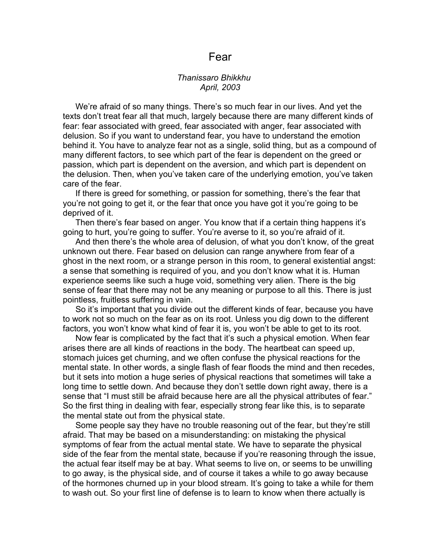## Fear

## *Thanissaro Bhikkhu April, 2003*

We're afraid of so many things. There's so much fear in our lives. And yet the texts don't treat fear all that much, largely because there are many different kinds of fear: fear associated with greed, fear associated with anger, fear associated with delusion. So if you want to understand fear, you have to understand the emotion behind it. You have to analyze fear not as a single, solid thing, but as a compound of many different factors, to see which part of the fear is dependent on the greed or passion, which part is dependent on the aversion, and which part is dependent on the delusion. Then, when you've taken care of the underlying emotion, you've taken care of the fear.

If there is greed for something, or passion for something, there's the fear that you're not going to get it, or the fear that once you have got it you're going to be deprived of it.

Then there's fear based on anger. You know that if a certain thing happens it's going to hurt, you're going to suffer. You're averse to it, so you're afraid of it.

And then there's the whole area of delusion, of what you don't know, of the great unknown out there. Fear based on delusion can range anywhere from fear of a ghost in the next room, or a strange person in this room, to general existential angst: a sense that something is required of you, and you don't know what it is. Human experience seems like such a huge void, something very alien. There is the big sense of fear that there may not be any meaning or purpose to all this. There is just pointless, fruitless suffering in vain.

So it's important that you divide out the different kinds of fear, because you have to work not so much on the fear as on its root. Unless you dig down to the different factors, you won't know what kind of fear it is, you won't be able to get to its root.

Now fear is complicated by the fact that it's such a physical emotion. When fear arises there are all kinds of reactions in the body. The heartbeat can speed up, stomach juices get churning, and we often confuse the physical reactions for the mental state. In other words, a single flash of fear floods the mind and then recedes, but it sets into motion a huge series of physical reactions that sometimes will take a long time to settle down. And because they don't settle down right away, there is a sense that "I must still be afraid because here are all the physical attributes of fear." So the first thing in dealing with fear, especially strong fear like this, is to separate the mental state out from the physical state.

Some people say they have no trouble reasoning out of the fear, but they're still afraid. That may be based on a misunderstanding: on mistaking the physical symptoms of fear from the actual mental state. We have to separate the physical side of the fear from the mental state, because if you're reasoning through the issue, the actual fear itself may be at bay. What seems to live on, or seems to be unwilling to go away, is the physical side, and of course it takes a while to go away because of the hormones churned up in your blood stream. It's going to take a while for them to wash out. So your first line of defense is to learn to know when there actually is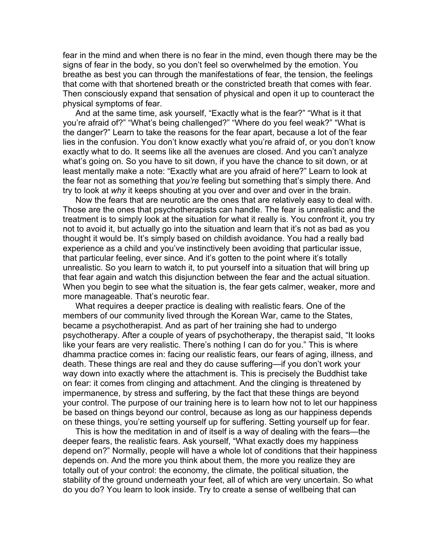fear in the mind and when there is no fear in the mind, even though there may be the signs of fear in the body, so you don't feel so overwhelmed by the emotion. You breathe as best you can through the manifestations of fear, the tension, the feelings that come with that shortened breath or the constricted breath that comes with fear. Then consciously expand that sensation of physical and open it up to counteract the physical symptoms of fear.

And at the same time, ask yourself, "Exactly what is the fear?" "What is it that you're afraid of?" "What's being challenged?" "Where do you feel weak?" "What is the danger?" Learn to take the reasons for the fear apart, because a lot of the fear lies in the confusion. You don't know exactly what you're afraid of, or you don't know exactly what to do. It seems like all the avenues are closed. And you can't analyze what's going on. So you have to sit down, if you have the chance to sit down, or at least mentally make a note: "Exactly what are you afraid of here?" Learn to look at the fear not as something that *you're* feeling but something that's simply there. And try to look at *why* it keeps shouting at you over and over and over in the brain.

Now the fears that are neurotic are the ones that are relatively easy to deal with. Those are the ones that psychotherapists can handle. The fear is unrealistic and the treatment is to simply look at the situation for what it really is. You confront it, you try not to avoid it, but actually go into the situation and learn that it's not as bad as you thought it would be. It's simply based on childish avoidance. You had a really bad experience as a child and you've instinctively been avoiding that particular issue, that particular feeling, ever since. And it's gotten to the point where it's totally unrealistic. So you learn to watch it, to put yourself into a situation that will bring up that fear again and watch this disjunction between the fear and the actual situation. When you begin to see what the situation is, the fear gets calmer, weaker, more and more manageable. That's neurotic fear.

What requires a deeper practice is dealing with realistic fears. One of the members of our community lived through the Korean War, came to the States, became a psychotherapist. And as part of her training she had to undergo psychotherapy. After a couple of years of psychotherapy, the therapist said, "It looks like your fears are very realistic. There's nothing I can do for you." This is where dhamma practice comes in: facing our realistic fears, our fears of aging, illness, and death. These things are real and they do cause suffering—if you don't work your way down into exactly where the attachment is. This is precisely the Buddhist take on fear: it comes from clinging and attachment. And the clinging is threatened by impermanence, by stress and suffering, by the fact that these things are beyond your control. The purpose of our training here is to learn how not to let our happiness be based on things beyond our control, because as long as our happiness depends on these things, you're setting yourself up for suffering. Setting yourself up for fear.

This is how the meditation in and of itself is a way of dealing with the fears—the deeper fears, the realistic fears. Ask yourself, "What exactly does my happiness depend on?" Normally, people will have a whole lot of conditions that their happiness depends on. And the more you think about them, the more you realize they are totally out of your control: the economy, the climate, the political situation, the stability of the ground underneath your feet, all of which are very uncertain. So what do you do? You learn to look inside. Try to create a sense of wellbeing that can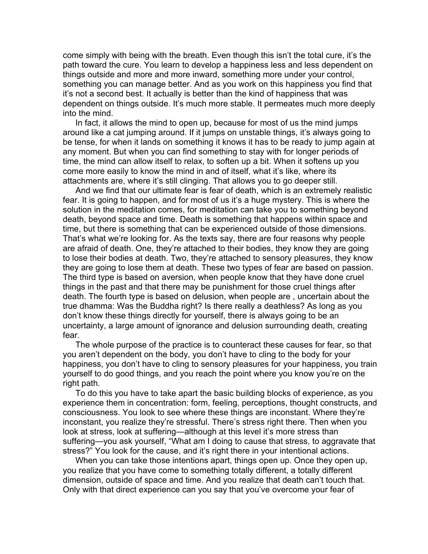come simply with being with the breath. Even though this isn't the total cure, it's the path toward the cure. You learn to develop a happiness less and less dependent on things outside and more and more inward, something more under your control, something you can manage better. And as you work on this happiness you find that it's not a second best. It actually is better than the kind of happiness that was dependent on things outside. It's much more stable. It permeates much more deeply into the mind.

In fact, it allows the mind to open up, because for most of us the mind jumps around like a cat jumping around. If it jumps on unstable things, it's always going to be tense, for when it lands on something it knows it has to be ready to jump again at any moment. But when you can find something to stay with for longer periods of time, the mind can allow itself to relax, to soften up a bit. When it softens up you come more easily to know the mind in and of itself, what it's like, where its attachments are, where it's still clinging. That allows you to go deeper still.

And we find that our ultimate fear is fear of death, which is an extremely realistic fear. It is going to happen, and for most of us it's a huge mystery. This is where the solution in the meditation comes, for meditation can take you to something beyond death, beyond space and time. Death is something that happens within space and time, but there is something that can be experienced outside of those dimensions. That's what we're looking for. As the texts say, there are four reasons why people are afraid of death. One, they're attached to their bodies, they know they are going to lose their bodies at death. Two, they're attached to sensory pleasures, they know they are going to lose them at death. These two types of fear are based on passion. The third type is based on aversion, when people know that they have done cruel things in the past and that there may be punishment for those cruel things after death. The fourth type is based on delusion, when people are , uncertain about the true dhamma: Was the Buddha right? Is there really a deathless? As long as you don't know these things directly for yourself, there is always going to be an uncertainty, a large amount of ignorance and delusion surrounding death, creating fear.

The whole purpose of the practice is to counteract these causes for fear, so that you aren't dependent on the body, you don't have to cling to the body for your happiness, you don't have to cling to sensory pleasures for your happiness, you train yourself to do good things, and you reach the point where you know you're on the right path.

To do this you have to take apart the basic building blocks of experience, as you experience them in concentration: form, feeling, perceptions, thought constructs, and consciousness. You look to see where these things are inconstant. Where they're inconstant, you realize they're stressful. There's stress right there. Then when you look at stress, look at suffering—although at this level it's more stress than suffering—you ask yourself, "What am I doing to cause that stress, to aggravate that stress?" You look for the cause, and it's right there in your intentional actions.

When you can take those intentions apart, things open up. Once they open up, you realize that you have come to something totally different, a totally different dimension, outside of space and time. And you realize that death can't touch that. Only with that direct experience can you say that you've overcome your fear of